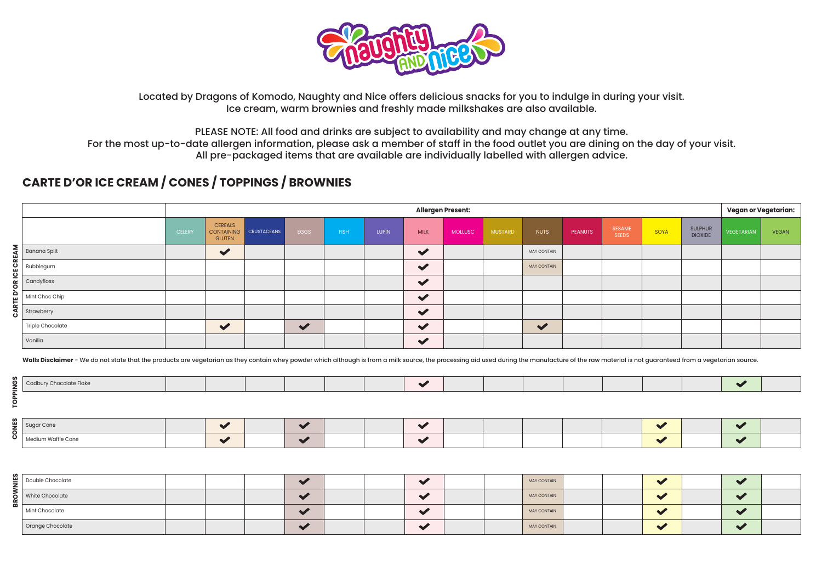

Located by Dragons of Komodo, Naughty and Nice offers delicious snacks for you to indulge in during your visit. Ice cream, warm brownies and freshly made milkshakes are also available.

PLEASE NOTE: All food and drinks are subject to availability and may change at any time.

For the most up-to-date allergen information, please ask a member of staff in the food outlet you are dining on the day of your visit. All pre-packaged items that are available are individually labelled with allergen advice.

## **CARTE D'OR ICE CREAM / CONES / TOPPINGS / BROWNIES**

|            |                                    |               | <b>Allergen Present:</b>        |                        |                      |             |       |                      |         |                |                    |         |                 |      |                                  | Vegan or Vegetarian: |              |  |
|------------|------------------------------------|---------------|---------------------------------|------------------------|----------------------|-------------|-------|----------------------|---------|----------------|--------------------|---------|-----------------|------|----------------------------------|----------------------|--------------|--|
|            |                                    | <b>CELERY</b> | <b>CEREALS</b><br><b>GLUTEN</b> | CONTAINING CRUSTACEANS | EGGS                 | <b>FISH</b> | Lupin | <b>MILK</b>          | MOLLUSC | <b>MUSTARD</b> | <b>NUTS</b>        | PEANUTS | SESAME<br>SEEDS | SOYA | <b>SULPHUR</b><br><b>DIOXIDE</b> | VEGETARIAN           | <b>VEGAN</b> |  |
|            | $\mathsf{R}$ Banana Split          |               |                                 |                        |                      |             |       | $\checkmark$         |         |                | <b>MAY CONTAIN</b> |         |                 |      |                                  |                      |              |  |
|            | $\overline{O}$ Bubblegum           |               |                                 |                        |                      |             |       | $\checkmark$         |         |                | <b>MAY CONTAIN</b> |         |                 |      |                                  |                      |              |  |
| ₫ ⊦<br>o ∣ | $\overline{\mathbf{z}}$ Candyfloss |               |                                 |                        |                      |             |       | $\checkmark$         |         |                |                    |         |                 |      |                                  |                      |              |  |
| ≏ ا        | Mint Choc Chip                     |               |                                 |                        |                      |             |       | $\checkmark$         |         |                |                    |         |                 |      |                                  |                      |              |  |
| œ<br>د     | Strawberry                         |               |                                 |                        |                      |             |       | $\checkmark$         |         |                |                    |         |                 |      |                                  |                      |              |  |
|            | Triple Chocolate                   |               | $\blacktriangledown$            |                        | $\blacktriangledown$ |             |       | $\checkmark$         |         |                | $\checkmark$       |         |                 |      |                                  |                      |              |  |
|            | Vanilla                            |               |                                 |                        |                      |             |       | $\blacktriangledown$ |         |                |                    |         |                 |      |                                  |                      |              |  |

Walls Disclaimer - We do not state that the products are vegetarian as they contain whey powder which although is from a milk source, the processing aid used during the manufacture of the raw material is not guaranteed fro

| $\ddot{\phantom{1}}$ |  |
|----------------------|--|
| $\sim$               |  |
|                      |  |
|                      |  |

| Double Chocolate | $\sim$                   | <b>MAY CONTAIN</b> | $\sim$ | $\sim$ |  |
|------------------|--------------------------|--------------------|--------|--------|--|
| White Chocolate  | $\overline{\phantom{a}}$ | <b>MAY CONTAIN</b> | $\sim$ | $\sim$ |  |
| Mint Chocolate   | $\overline{\phantom{a}}$ | <b>MAY CONTAIN</b> | $\sim$ | $\sim$ |  |
| Orange Chocolate | $\sim$                   | <b>MAY CONTAIN</b> | $\sim$ | $\sim$ |  |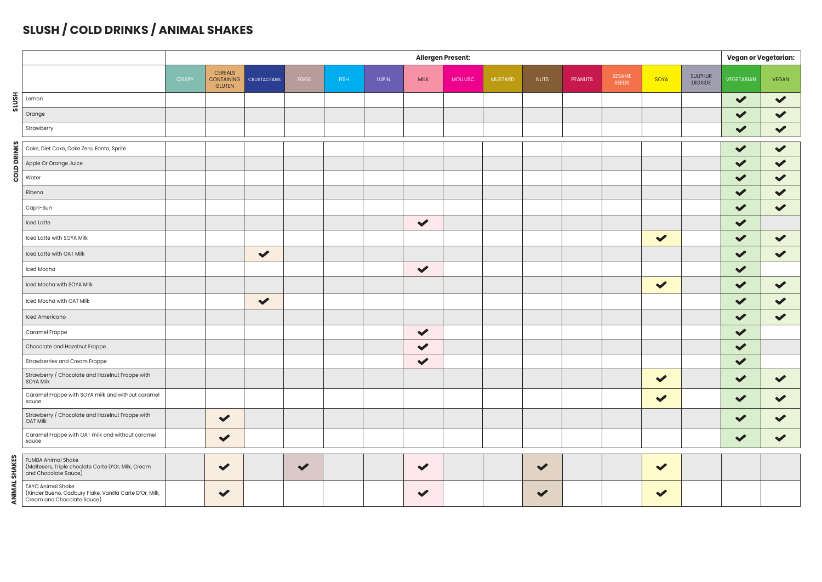## **SLUSH / COLD DRINKS / ANIMAL SHAKES**

|                    |                                                                                                                   | <b>Allergen Present:</b> |                                                      |                    |                      |             |              |                      |                |                |              |                |                               |              |                                  | <b>Vegan or Vegetarian:</b> |                      |
|--------------------|-------------------------------------------------------------------------------------------------------------------|--------------------------|------------------------------------------------------|--------------------|----------------------|-------------|--------------|----------------------|----------------|----------------|--------------|----------------|-------------------------------|--------------|----------------------------------|-----------------------------|----------------------|
|                    |                                                                                                                   | <b>CELERY</b>            | <b>CEREALS</b><br><b>CONTAINING</b><br><b>GLUTEN</b> | <b>CRUSTACEANS</b> | EGGS                 | <b>FISH</b> | <b>LUPIN</b> | <b>MILK</b>          | <b>MOLLUSC</b> | <b>MUSTARD</b> | <b>NUTS</b>  | <b>PEANUTS</b> | <b>SESAME</b><br><b>SEEDS</b> | SOYA         | <b>SULPHUR</b><br><b>DIOXIDE</b> | <b>VEGETARIAN</b>           | <b>VEGAN</b>         |
| <b>HSN1S</b>       | Lemon                                                                                                             |                          |                                                      |                    |                      |             |              |                      |                |                |              |                |                               |              |                                  | $\checkmark$                | $\checkmark$         |
|                    | Orange                                                                                                            |                          |                                                      |                    |                      |             |              |                      |                |                |              |                |                               |              |                                  | $\blacktriangledown$        | $\checkmark$         |
|                    | Strawberry                                                                                                        |                          |                                                      |                    |                      |             |              |                      |                |                |              |                |                               |              |                                  | $\blacktriangledown$        | $\checkmark$         |
|                    | Coke, Diet Coke, Coke Zero, Fanta, Sprite                                                                         |                          |                                                      |                    |                      |             |              |                      |                |                |              |                |                               |              |                                  | $\checkmark$                | $\checkmark$         |
| <b>COLD DRINKS</b> | Apple Or Orange Juice                                                                                             |                          |                                                      |                    |                      |             |              |                      |                |                |              |                |                               |              |                                  | $\checkmark$                | $\checkmark$         |
|                    | Water                                                                                                             |                          |                                                      |                    |                      |             |              |                      |                |                |              |                |                               |              |                                  | $\checkmark$                | $\checkmark$         |
|                    | Ribena                                                                                                            |                          |                                                      |                    |                      |             |              |                      |                |                |              |                |                               |              |                                  | $\blacktriangledown$        | $\checkmark$         |
|                    | Capri-Sun                                                                                                         |                          |                                                      |                    |                      |             |              |                      |                |                |              |                |                               |              |                                  | $\blacktriangledown$        | $\checkmark$         |
|                    | <b>Iced Latte</b>                                                                                                 |                          |                                                      |                    |                      |             |              | $\checkmark$         |                |                |              |                |                               |              |                                  | $\blacktriangledown$        |                      |
|                    | Iced Latte with SOYA Milk                                                                                         |                          |                                                      |                    |                      |             |              |                      |                |                |              |                |                               | $\checkmark$ |                                  | $\blacktriangledown$        | $\blacktriangledown$ |
|                    | Iced Latte with OAT Milk                                                                                          |                          |                                                      | $\checkmark$       |                      |             |              |                      |                |                |              |                |                               |              |                                  | $\blacktriangledown$        | $\checkmark$         |
|                    | Iced Mocha                                                                                                        |                          |                                                      |                    |                      |             |              | $\blacktriangledown$ |                |                |              |                |                               |              |                                  | $\blacktriangledown$        |                      |
|                    | Iced Mocha with SOYA Milk                                                                                         |                          |                                                      |                    |                      |             |              |                      |                |                |              |                |                               | $\checkmark$ |                                  | $\blacktriangledown$        | $\checkmark$         |
|                    | Iced Mocha with OAT Milk                                                                                          |                          |                                                      | $\checkmark$       |                      |             |              |                      |                |                |              |                |                               |              |                                  | $\checkmark$                | $\checkmark$         |
|                    | Iced Americano                                                                                                    |                          |                                                      |                    |                      |             |              |                      |                |                |              |                |                               |              |                                  | $\blacktriangledown$        | $\checkmark$         |
|                    | Caramel Frappe                                                                                                    |                          |                                                      |                    |                      |             |              | $\checkmark$         |                |                |              |                |                               |              |                                  | $\blacktriangledown$        |                      |
|                    | Chocolate and Hazelnut Frappe                                                                                     |                          |                                                      |                    |                      |             |              | $\checkmark$         |                |                |              |                |                               |              |                                  | $\checkmark$                |                      |
|                    | Strawberries and Cream Frappe                                                                                     |                          |                                                      |                    |                      |             |              | $\checkmark$         |                |                |              |                |                               |              |                                  | $\checkmark$                |                      |
|                    | Strawberry / Chocolate and Hazelnut Frappe with<br>SOYA Milk                                                      |                          |                                                      |                    |                      |             |              |                      |                |                |              |                |                               | $\checkmark$ |                                  | $\checkmark$                | $\checkmark$         |
|                    | Caramel Frappe with SOYA milk and without caramel<br>sauce                                                        |                          |                                                      |                    |                      |             |              |                      |                |                |              |                |                               | $\checkmark$ |                                  | $\checkmark$                | $\checkmark$         |
|                    | Strawberry / Chocolate and Hazelnut Frappe with<br>OAT Milk                                                       |                          | $\checkmark$                                         |                    |                      |             |              |                      |                |                |              |                |                               |              |                                  | $\checkmark$                | $\checkmark$         |
|                    | Caramel Frappe with OAT milk and without caramel<br>sauce                                                         |                          | $\checkmark$                                         |                    |                      |             |              |                      |                |                |              |                |                               |              |                                  | $\checkmark$                | $\blacktriangledown$ |
| ഗ                  | <b>TUMBA Animal Shake</b><br>(Maltesers, Triple choclate Carte D'Or, Milk, Cream<br>and Chocolate Sauce)          |                          | $\checkmark$                                         |                    | $\blacktriangledown$ |             |              | $\checkmark$         |                |                | $\checkmark$ |                |                               | $\checkmark$ |                                  |                             |                      |
|                    | <b>TAYO Animal Shake</b><br>(Kinder Bueno, Cadbury Flake, Vanilla Carte D'Or, Milk,<br>Cream and Chocolate Sauce) |                          | $\blacktriangledown$                                 |                    |                      |             |              | $\blacktriangledown$ |                |                | $\checkmark$ |                |                               | $\checkmark$ |                                  |                             |                      |